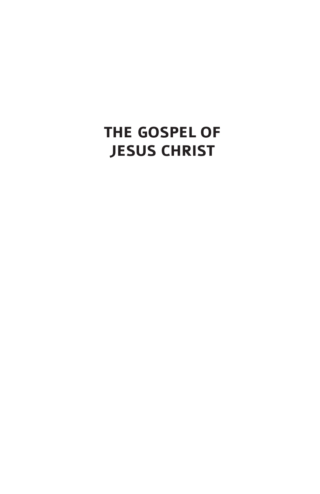## **THE GOSPEL OF JESUS CHRIST**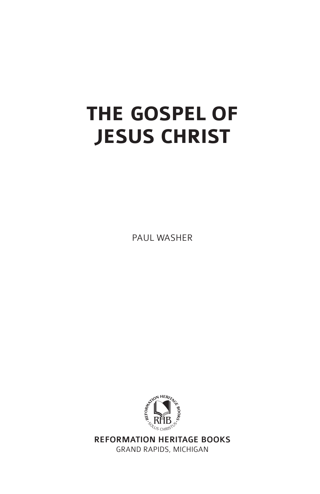# **THE GOSPEL OF JESUS CHRIST**

PAUL WASHER



REFORMATION HERITAGE BOOKS GRAND RAPIDS, MICHIGAN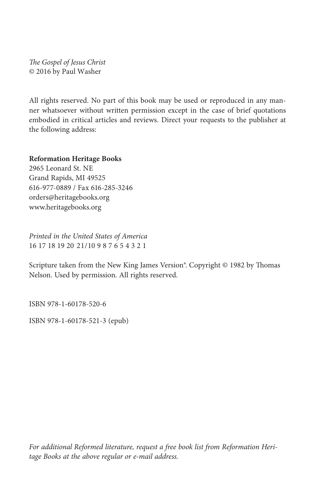*The Gospel of Jesus Christ* © 2016 by Paul Washer

All rights reserved. No part of this book may be used or reproduced in any manner whatsoever without written permission except in the case of brief quotations embodied in critical articles and reviews. Direct your requests to the publisher at the following address:

#### **Reformation Heritage Books**

2965 Leonard St. NE Grand Rapids, MI 49525 616-977-0889 / Fax 616-285-3246 orders@heritagebooks.org www.heritagebooks.org

*Printed in the United States of America* 16 17 18 19 20 21/10 9 8 7 6 5 4 3 2 1

Scripture taken from the New King James Version®. Copyright © 1982 by Thomas Nelson. Used by permission. All rights reserved.

ISBN 978-1-60178-520-6

ISBN 978-1-60178-521-3 (epub)

*For additional Reformed literature, request a free book list from Reformation Heritage Books at the above regular or e-mail address.*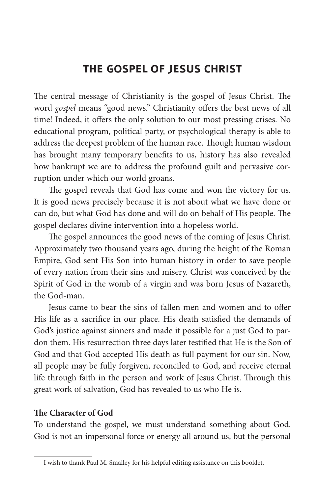### **THE GOSPEL OF JESUS CHRIST**

The central message of Christianity is the gospel of Jesus Christ. The word *gospel* means "good news." Christianity offers the best news of all time! Indeed, it offers the only solution to our most pressing crises. No educational program, political party, or psychological therapy is able to address the deepest problem of the human race. Though human wisdom has brought many temporary benefits to us, history has also revealed how bankrupt we are to address the profound guilt and pervasive corruption under which our world groans.

The gospel reveals that God has come and won the victory for us. It is good news precisely because it is not about what we have done or can do, but what God has done and will do on behalf of His people. The gospel declares divine intervention into a hopeless world.

The gospel announces the good news of the coming of Jesus Christ. Approximately two thousand years ago, during the height of the Roman Empire, God sent His Son into human history in order to save people of every nation from their sins and misery. Christ was conceived by the Spirit of God in the womb of a virgin and was born Jesus of Nazareth, the God-man.

Jesus came to bear the sins of fallen men and women and to offer His life as a sacrifice in our place. His death satisfied the demands of God's justice against sinners and made it possible for a just God to pardon them. His resurrection three days later testified that He is the Son of God and that God accepted His death as full payment for our sin. Now, all people may be fully forgiven, reconciled to God, and receive eternal life through faith in the person and work of Jesus Christ. Through this great work of salvation, God has revealed to us who He is.

#### **The Character of God**

To understand the gospel, we must understand something about God. God is not an impersonal force or energy all around us, but the personal

I wish to thank Paul M. Smalley for his helpful editing assistance on this booklet.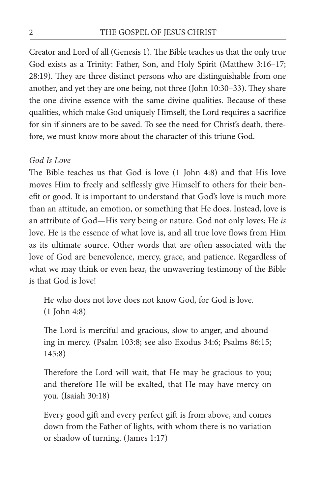Creator and Lord of all (Genesis 1). The Bible teaches us that the only true God exists as a Trinity: Father, Son, and Holy Spirit (Matthew 3:16–17; 28:19). They are three distinct persons who are distinguishable from one another, and yet they are one being, not three (John 10:30–33). They share the one divine essence with the same divine qualities. Because of these qualities, which make God uniquely Himself, the Lord requires a sacrifice for sin if sinners are to be saved. To see the need for Christ's death, therefore, we must know more about the character of this triune God.

#### *God Is Love*

The Bible teaches us that God is love (1 John 4:8) and that His love moves Him to freely and selflessly give Himself to others for their benefit or good. It is important to understand that God's love is much more than an attitude, an emotion, or something that He does. Instead, love is an attribute of God—His very being or nature. God not only loves; He *is* love. He is the essence of what love is, and all true love flows from Him as its ultimate source. Other words that are often associated with the love of God are benevolence, mercy, grace, and patience. Regardless of what we may think or even hear, the unwavering testimony of the Bible is that God is love!

He who does not love does not know God, for God is love. (1 John 4:8)

The Lord is merciful and gracious, slow to anger, and abounding in mercy. (Psalm 103:8; see also Exodus 34:6; Psalms 86:15; 145:8)

Therefore the Lord will wait, that He may be gracious to you; and therefore He will be exalted, that He may have mercy on you. (Isaiah 30:18)

Every good gift and every perfect gift is from above, and comes down from the Father of lights, with whom there is no variation or shadow of turning. (James 1:17)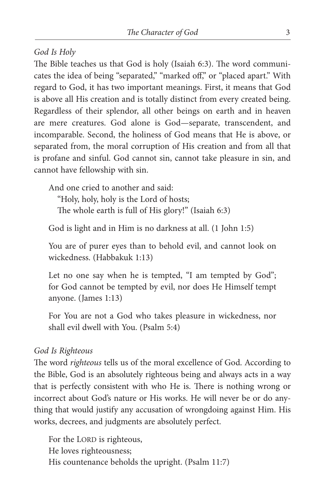*God Is Holy*

The Bible teaches us that God is holy (Isaiah 6:3). The word communicates the idea of being "separated," "marked off," or "placed apart." With regard to God, it has two important meanings. First, it means that God is above all His creation and is totally distinct from every created being. Regardless of their splendor, all other beings on earth and in heaven are mere creatures. God alone is God—separate, transcendent, and incomparable. Second, the holiness of God means that He is above, or separated from, the moral corruption of His creation and from all that is profane and sinful. God cannot sin, cannot take pleasure in sin, and cannot have fellowship with sin.

And one cried to another and said:

"Holy, holy, holy is the Lord of hosts; The whole earth is full of His glory!" (Isaiah 6:3)

God is light and in Him is no darkness at all. (1 John 1:5)

You are of purer eyes than to behold evil, and cannot look on wickedness. (Habbakuk 1:13)

Let no one say when he is tempted, "I am tempted by God"; for God cannot be tempted by evil, nor does He Himself tempt anyone. (James 1:13)

For You are not a God who takes pleasure in wickedness, nor shall evil dwell with You. (Psalm 5:4)

#### *God Is Righteous*

The word *righteous* tells us of the moral excellence of God. According to the Bible, God is an absolutely righteous being and always acts in a way that is perfectly consistent with who He is. There is nothing wrong or incorrect about God's nature or His works. He will never be or do anything that would justify any accusation of wrongdoing against Him. His works, decrees, and judgments are absolutely perfect.

For the LORD is righteous, He loves righteousness; His countenance beholds the upright. (Psalm 11:7)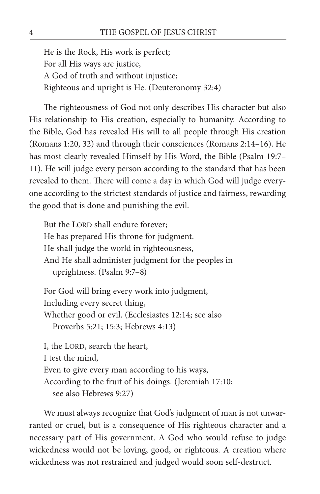He is the Rock, His work is perfect; For all His ways are justice, A God of truth and without injustice; Righteous and upright is He. (Deuteronomy 32:4)

The righteousness of God not only describes His character but also His relationship to His creation, especially to humanity. According to the Bible, God has revealed His will to all people through His creation (Romans 1:20, 32) and through their consciences (Romans 2:14–16). He has most clearly revealed Himself by His Word, the Bible (Psalm 19:7– 11). He will judge every person according to the standard that has been revealed to them. There will come a day in which God will judge everyone according to the strictest standards of justice and fairness, rewarding the good that is done and punishing the evil.

But the LORD shall endure forever; He has prepared His throne for judgment. He shall judge the world in righteousness, And He shall administer judgment for the peoples in uprightness. (Psalm 9:7–8)

For God will bring every work into judgment, Including every secret thing, Whether good or evil. (Ecclesiastes 12:14; see also Proverbs 5:21; 15:3; Hebrews 4:13)

I, the LORD, search the heart, I test the mind, Even to give every man according to his ways, According to the fruit of his doings. (Jeremiah 17:10; see also Hebrews 9:27)

We must always recognize that God's judgment of man is not unwarranted or cruel, but is a consequence of His righteous character and a necessary part of His government. A God who would refuse to judge wickedness would not be loving, good, or righteous. A creation where wickedness was not restrained and judged would soon self-destruct.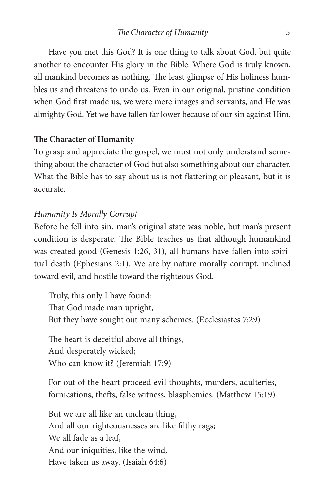Have you met this God? It is one thing to talk about God, but quite another to encounter His glory in the Bible. Where God is truly known, all mankind becomes as nothing. The least glimpse of His holiness humbles us and threatens to undo us. Even in our original, pristine condition when God first made us, we were mere images and servants, and He was almighty God. Yet we have fallen far lower because of our sin against Him.

#### **The Character of Humanity**

To grasp and appreciate the gospel, we must not only understand something about the character of God but also something about our character. What the Bible has to say about us is not flattering or pleasant, but it is accurate.

#### *Humanity Is Morally Corrupt*

Before he fell into sin, man's original state was noble, but man's present condition is desperate. The Bible teaches us that although humankind was created good (Genesis 1:26, 31), all humans have fallen into spiritual death (Ephesians 2:1). We are by nature morally corrupt, inclined toward evil, and hostile toward the righteous God.

Truly, this only I have found: That God made man upright, But they have sought out many schemes. (Ecclesiastes 7:29)

The heart is deceitful above all things, And desperately wicked; Who can know it? (Jeremiah 17:9)

For out of the heart proceed evil thoughts, murders, adulteries, fornications, thefts, false witness, blasphemies. (Matthew 15:19)

But we are all like an unclean thing, And all our righteousnesses are like filthy rags; We all fade as a leaf, And our iniquities, like the wind, Have taken us away. (Isaiah 64:6)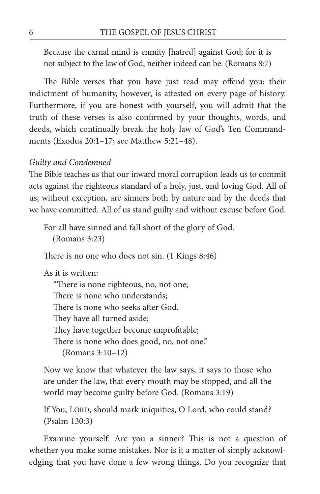Because the carnal mind is enmity [hatred] against God; for it is not subject to the law of God, neither indeed can be. (Romans 8:7)

The Bible verses that you have just read may offend you; their indictment of humanity, however, is attested on every page of history. Furthermore, if you are honest with yourself, you will admit that the truth of these verses is also confirmed by your thoughts, words, and deeds, which continually break the holy law of God's Ten Commandments (Exodus 20:1–17; see Matthew 5:21–48).

#### *Guilty and Condemned*

The Bible teaches us that our inward moral corruption leads us to commit acts against the righteous standard of a holy, just, and loving God. All of us, without exception, are sinners both by nature and by the deeds that we have committed. All of us stand guilty and without excuse before God.

For all have sinned and fall short of the glory of God. (Romans 3:23)

There is no one who does not sin. (1 Kings 8:46)

As it is written:

"There is none righteous, no, not one; There is none who understands; There is none who seeks after God. They have all turned aside; They have together become unprofitable; There is none who does good, no, not one." (Romans 3:10–12)

Now we know that whatever the law says, it says to those who are under the law, that every mouth may be stopped, and all the world may become guilty before God. (Romans 3:19)

If You, LORD, should mark iniquities, O Lord, who could stand? (Psalm 130:3)

Examine yourself. Are you a sinner? This is not a question of whether you make some mistakes. Nor is it a matter of simply acknowledging that you have done a few wrong things. Do you recognize that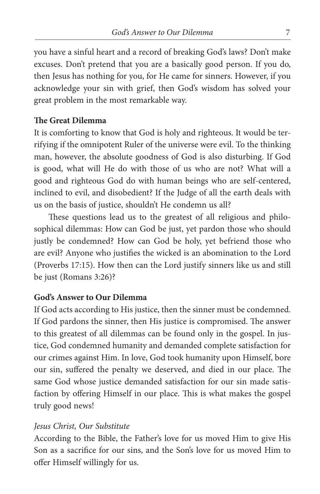you have a sinful heart and a record of breaking God's laws? Don't make excuses. Don't pretend that you are a basically good person. If you do, then Jesus has nothing for you, for He came for sinners. However, if you acknowledge your sin with grief, then God's wisdom has solved your great problem in the most remarkable way.

#### **The Great Dilemma**

It is comforting to know that God is holy and righteous. It would be terrifying if the omnipotent Ruler of the universe were evil. To the thinking man, however, the absolute goodness of God is also disturbing. If God is good, what will He do with those of us who are not? What will a good and righteous God do with human beings who are self-centered, inclined to evil, and disobedient? If the Judge of all the earth deals with us on the basis of justice, shouldn't He condemn us all?

These questions lead us to the greatest of all religious and philosophical dilemmas: How can God be just, yet pardon those who should justly be condemned? How can God be holy, yet befriend those who are evil? Anyone who justifies the wicked is an abomination to the Lord (Proverbs 17:15). How then can the Lord justify sinners like us and still be just (Romans 3:26)?

#### **God's Answer to Our Dilemma**

If God acts according to His justice, then the sinner must be condemned. If God pardons the sinner, then His justice is compromised. The answer to this greatest of all dilemmas can be found only in the gospel. In justice, God condemned humanity and demanded complete satisfaction for our crimes against Him. In love, God took humanity upon Himself, bore our sin, suffered the penalty we deserved, and died in our place. The same God whose justice demanded satisfaction for our sin made satisfaction by offering Himself in our place. This is what makes the gospel truly good news!

#### *Jesus Christ, Our Substitute*

According to the Bible, the Father's love for us moved Him to give His Son as a sacrifice for our sins, and the Son's love for us moved Him to offer Himself willingly for us.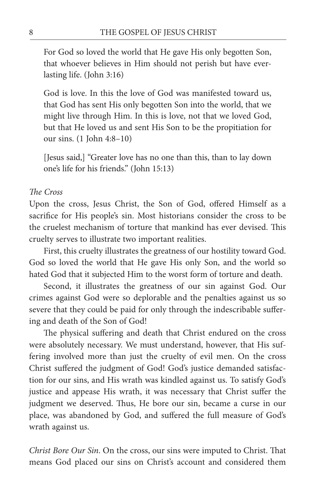For God so loved the world that He gave His only begotten Son, that whoever believes in Him should not perish but have everlasting life. (John 3:16)

God is love. In this the love of God was manifested toward us, that God has sent His only begotten Son into the world, that we might live through Him. In this is love, not that we loved God, but that He loved us and sent His Son to be the propitiation for our sins. (1 John 4:8–10)

[Jesus said,] "Greater love has no one than this, than to lay down one's life for his friends." (John 15:13)

#### *The Cross*

Upon the cross, Jesus Christ, the Son of God, offered Himself as a sacrifice for His people's sin. Most historians consider the cross to be the cruelest mechanism of torture that mankind has ever devised. This cruelty serves to illustrate two important realities.

First, this cruelty illustrates the greatness of our hostility toward God. God so loved the world that He gave His only Son, and the world so hated God that it subjected Him to the worst form of torture and death.

Second, it illustrates the greatness of our sin against God. Our crimes against God were so deplorable and the penalties against us so severe that they could be paid for only through the indescribable suffering and death of the Son of God!

The physical suffering and death that Christ endured on the cross were absolutely necessary. We must understand, however, that His suffering involved more than just the cruelty of evil men. On the cross Christ suffered the judgment of God! God's justice demanded satisfaction for our sins, and His wrath was kindled against us. To satisfy God's justice and appease His wrath, it was necessary that Christ suffer the judgment we deserved. Thus, He bore our sin, became a curse in our place, was abandoned by God, and suffered the full measure of God's wrath against us.

*Christ Bore Our Sin*. On the cross, our sins were imputed to Christ. That means God placed our sins on Christ's account and considered them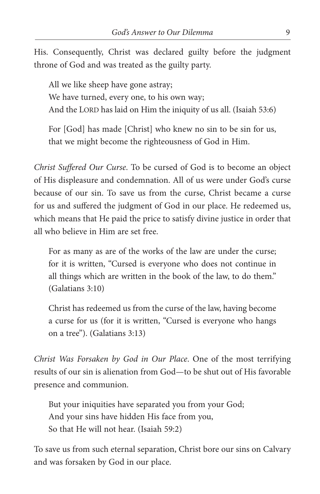His. Consequently, Christ was declared guilty before the judgment throne of God and was treated as the guilty party.

All we like sheep have gone astray; We have turned, every one, to his own way; And the LORD has laid on Him the iniquity of us all. (Isaiah 53:6)

For [God] has made [Christ] who knew no sin to be sin for us, that we might become the righteousness of God in Him.

*Christ Suffered Our Curse*. To be cursed of God is to become an object of His displeasure and condemnation. All of us were under God's curse because of our sin. To save us from the curse, Christ became a curse for us and suffered the judgment of God in our place. He redeemed us, which means that He paid the price to satisfy divine justice in order that all who believe in Him are set free.

For as many as are of the works of the law are under the curse; for it is written, "Cursed is everyone who does not continue in all things which are written in the book of the law, to do them." (Galatians 3:10)

Christ has redeemed us from the curse of the law, having become a curse for us (for it is written, "Cursed is everyone who hangs on a tree"). (Galatians 3:13)

*Christ Was Forsaken by God in Our Place*. One of the most terrifying results of our sin is alienation from God—to be shut out of His favorable presence and communion.

But your iniquities have separated you from your God; And your sins have hidden His face from you, So that He will not hear. (Isaiah 59:2)

To save us from such eternal separation, Christ bore our sins on Calvary and was forsaken by God in our place.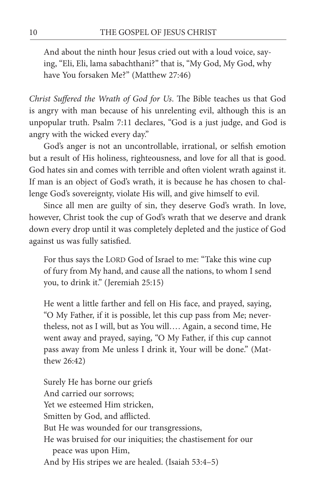And about the ninth hour Jesus cried out with a loud voice, saying, "Eli, Eli, lama sabachthani?" that is, "My God, My God, why have You forsaken Me?" (Matthew 27:46)

*Christ Suffered the Wrath of God for Us*. The Bible teaches us that God is angry with man because of his unrelenting evil, although this is an unpopular truth. Psalm 7:11 declares, "God is a just judge, and God is angry with the wicked every day."

God's anger is not an uncontrollable, irrational, or selfish emotion but a result of His holiness, righteousness, and love for all that is good. God hates sin and comes with terrible and often violent wrath against it. If man is an object of God's wrath, it is because he has chosen to challenge God's sovereignty, violate His will, and give himself to evil.

Since all men are guilty of sin, they deserve God's wrath. In love, however, Christ took the cup of God's wrath that we deserve and drank down every drop until it was completely depleted and the justice of God against us was fully satisfied.

For thus says the LORD God of Israel to me: "Take this wine cup of fury from My hand, and cause all the nations, to whom I send you, to drink it." (Jeremiah 25:15)

He went a little farther and fell on His face, and prayed, saying, "O My Father, if it is possible, let this cup pass from Me; nevertheless, not as I will, but as You will…. Again, a second time, He went away and prayed, saying, "O My Father, if this cup cannot pass away from Me unless I drink it, Your will be done." (Matthew 26:42)

Surely He has borne our griefs And carried our sorrows; Yet we esteemed Him stricken, Smitten by God, and afflicted. But He was wounded for our transgressions, He was bruised for our iniquities; the chastisement for our peace was upon Him, And by His stripes we are healed. (Isaiah 53:4–5)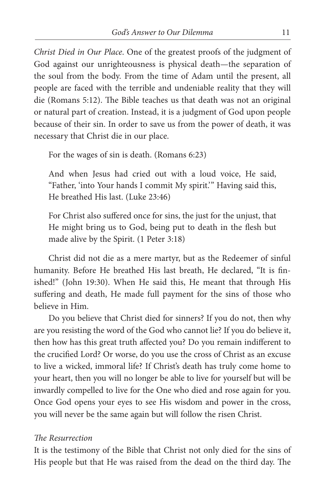*Christ Died in Our Place*. One of the greatest proofs of the judgment of God against our unrighteousness is physical death—the separation of the soul from the body. From the time of Adam until the present, all people are faced with the terrible and undeniable reality that they will die (Romans 5:12). The Bible teaches us that death was not an original or natural part of creation. Instead, it is a judgment of God upon people because of their sin. In order to save us from the power of death, it was necessary that Christ die in our place.

For the wages of sin is death. (Romans 6:23)

And when Jesus had cried out with a loud voice, He said, "Father, 'into Your hands I commit My spirit.'" Having said this, He breathed His last. (Luke 23:46)

For Christ also suffered once for sins, the just for the unjust, that He might bring us to God, being put to death in the flesh but made alive by the Spirit. (1 Peter 3:18)

Christ did not die as a mere martyr, but as the Redeemer of sinful humanity. Before He breathed His last breath, He declared, "It is finished!" (John 19:30). When He said this, He meant that through His suffering and death, He made full payment for the sins of those who believe in Him.

Do you believe that Christ died for sinners? If you do not, then why are you resisting the word of the God who cannot lie? If you do believe it, then how has this great truth affected you? Do you remain indifferent to the crucified Lord? Or worse, do you use the cross of Christ as an excuse to live a wicked, immoral life? If Christ's death has truly come home to your heart, then you will no longer be able to live for yourself but will be inwardly compelled to live for the One who died and rose again for you. Once God opens your eyes to see His wisdom and power in the cross, you will never be the same again but will follow the risen Christ.

#### *The Resurrection*

It is the testimony of the Bible that Christ not only died for the sins of His people but that He was raised from the dead on the third day. The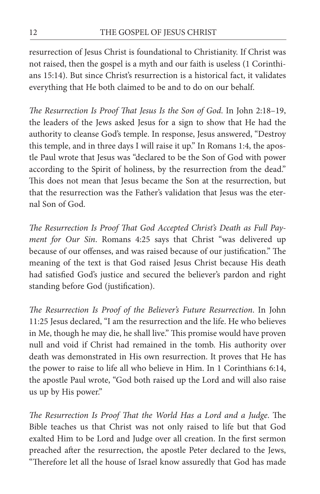resurrection of Jesus Christ is foundational to Christianity. If Christ was not raised, then the gospel is a myth and our faith is useless (1 Corinthians 15:14). But since Christ's resurrection is a historical fact, it validates everything that He both claimed to be and to do on our behalf.

*The Resurrection Is Proof That Jesus Is the Son of God*. In John 2:18–19, the leaders of the Jews asked Jesus for a sign to show that He had the authority to cleanse God's temple. In response, Jesus answered, "Destroy this temple, and in three days I will raise it up." In Romans 1:4, the apostle Paul wrote that Jesus was "declared to be the Son of God with power according to the Spirit of holiness, by the resurrection from the dead." This does not mean that Jesus became the Son at the resurrection, but that the resurrection was the Father's validation that Jesus was the eternal Son of God.

*The Resurrection Is Proof That God Accepted Christ's Death as Full Payment for Our Sin*. Romans 4:25 says that Christ "was delivered up because of our offenses, and was raised because of our justification." The meaning of the text is that God raised Jesus Christ because His death had satisfied God's justice and secured the believer's pardon and right standing before God (justification).

*The Resurrection Is Proof of the Believer's Future Resurrection*. In John 11:25 Jesus declared, "I am the resurrection and the life. He who believes in Me, though he may die, he shall live." This promise would have proven null and void if Christ had remained in the tomb. His authority over death was demonstrated in His own resurrection. It proves that He has the power to raise to life all who believe in Him. In 1 Corinthians 6:14, the apostle Paul wrote, "God both raised up the Lord and will also raise us up by His power."

*The Resurrection Is Proof That the World Has a Lord and a Judge*. The Bible teaches us that Christ was not only raised to life but that God exalted Him to be Lord and Judge over all creation. In the first sermon preached after the resurrection, the apostle Peter declared to the Jews, "Therefore let all the house of Israel know assuredly that God has made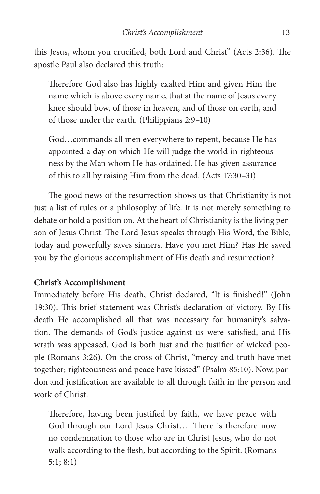this Jesus, whom you crucified, both Lord and Christ" (Acts 2:36). The apostle Paul also declared this truth:

Therefore God also has highly exalted Him and given Him the name which is above every name, that at the name of Jesus every knee should bow, of those in heaven, and of those on earth, and of those under the earth. (Philippians 2:9–10)

God…commands all men everywhere to repent, because He has appointed a day on which He will judge the world in righteousness by the Man whom He has ordained. He has given assurance of this to all by raising Him from the dead. (Acts 17:30–31)

The good news of the resurrection shows us that Christianity is not just a list of rules or a philosophy of life. It is not merely something to debate or hold a position on. At the heart of Christianity is the living person of Jesus Christ. The Lord Jesus speaks through His Word, the Bible, today and powerfully saves sinners. Have you met Him? Has He saved you by the glorious accomplishment of His death and resurrection?

#### **Christ's Accomplishment**

Immediately before His death, Christ declared, "It is finished!" (John 19:30). This brief statement was Christ's declaration of victory. By His death He accomplished all that was necessary for humanity's salvation. The demands of God's justice against us were satisfied, and His wrath was appeased. God is both just and the justifier of wicked people (Romans 3:26). On the cross of Christ, "mercy and truth have met together; righteousness and peace have kissed" (Psalm 85:10). Now, pardon and justification are available to all through faith in the person and work of Christ.

Therefore, having been justified by faith, we have peace with God through our Lord Jesus Christ…. There is therefore now no condemnation to those who are in Christ Jesus, who do not walk according to the flesh, but according to the Spirit. (Romans 5:1; 8:1)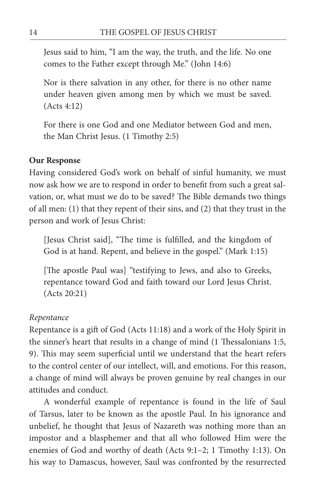Jesus said to him, "I am the way, the truth, and the life. No one comes to the Father except through Me." (John 14:6)

Nor is there salvation in any other, for there is no other name under heaven given among men by which we must be saved. (Acts 4:12)

For there is one God and one Mediator between God and men, the Man Christ Jesus. (1 Timothy 2:5)

#### **Our Response**

Having considered God's work on behalf of sinful humanity, we must now ask how we are to respond in order to benefit from such a great salvation, or, what must we do to be saved? The Bible demands two things of all men: (1) that they repent of their sins, and (2) that they trust in the person and work of Jesus Christ:

[Jesus Christ said], "The time is fulfilled, and the kingdom of God is at hand. Repent, and believe in the gospel." (Mark 1:15)

[The apostle Paul was] "testifying to Jews, and also to Greeks, repentance toward God and faith toward our Lord Jesus Christ. (Acts 20:21)

#### *Repentance*

Repentance is a gift of God (Acts 11:18) and a work of the Holy Spirit in the sinner's heart that results in a change of mind (1 Thessalonians 1:5, 9). This may seem superficial until we understand that the heart refers to the control center of our intellect, will, and emotions. For this reason, a change of mind will always be proven genuine by real changes in our attitudes and conduct.

A wonderful example of repentance is found in the life of Saul of Tarsus, later to be known as the apostle Paul. In his ignorance and unbelief, he thought that Jesus of Nazareth was nothing more than an impostor and a blasphemer and that all who followed Him were the enemies of God and worthy of death (Acts 9:1–2; 1 Timothy 1:13). On his way to Damascus, however, Saul was confronted by the resurrected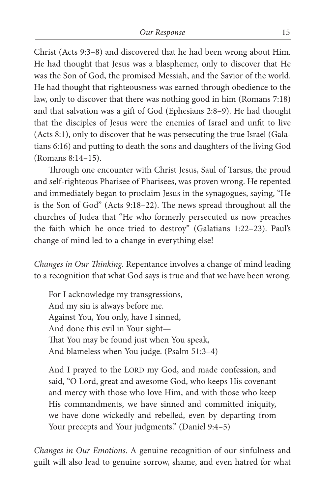Christ (Acts 9:3–8) and discovered that he had been wrong about Him. He had thought that Jesus was a blasphemer, only to discover that He was the Son of God, the promised Messiah, and the Savior of the world. He had thought that righteousness was earned through obedience to the law, only to discover that there was nothing good in him (Romans 7:18) and that salvation was a gift of God (Ephesians 2:8–9). He had thought that the disciples of Jesus were the enemies of Israel and unfit to live (Acts 8:1), only to discover that he was persecuting the true Israel (Galatians 6:16) and putting to death the sons and daughters of the living God (Romans 8:14–15).

Through one encounter with Christ Jesus, Saul of Tarsus, the proud and self-righteous Pharisee of Pharisees, was proven wrong. He repented and immediately began to proclaim Jesus in the synagogues, saying, "He is the Son of God" (Acts 9:18–22). The news spread throughout all the churches of Judea that "He who formerly persecuted us now preaches the faith which he once tried to destroy" (Galatians 1:22–23). Paul's change of mind led to a change in everything else!

*Changes in Our Thinking*. Repentance involves a change of mind leading to a recognition that what God says is true and that we have been wrong.

For I acknowledge my transgressions, And my sin is always before me. Against You, You only, have I sinned, And done this evil in Your sight— That You may be found just when You speak, And blameless when You judge. (Psalm 51:3–4)

And I prayed to the LORD my God, and made confession, and said, "O Lord, great and awesome God, who keeps His covenant and mercy with those who love Him, and with those who keep His commandments, we have sinned and committed iniquity, we have done wickedly and rebelled, even by departing from Your precepts and Your judgments." (Daniel 9:4–5)

*Changes in Our Emotions*. A genuine recognition of our sinfulness and guilt will also lead to genuine sorrow, shame, and even hatred for what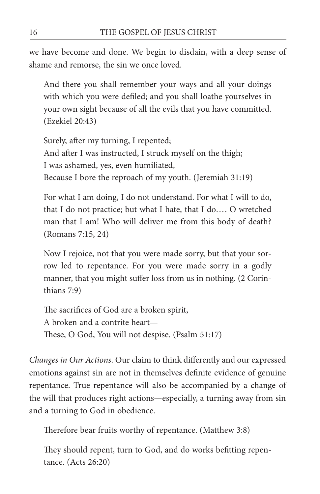we have become and done. We begin to disdain, with a deep sense of shame and remorse, the sin we once loved.

And there you shall remember your ways and all your doings with which you were defiled; and you shall loathe yourselves in your own sight because of all the evils that you have committed. (Ezekiel 20:43)

Surely, after my turning, I repented; And after I was instructed, I struck myself on the thigh; I was ashamed, yes, even humiliated, Because I bore the reproach of my youth. (Jeremiah 31:19)

For what I am doing, I do not understand. For what I will to do, that I do not practice; but what I hate, that I do…. O wretched man that I am! Who will deliver me from this body of death? (Romans 7:15, 24)

Now I rejoice, not that you were made sorry, but that your sorrow led to repentance. For you were made sorry in a godly manner, that you might suffer loss from us in nothing. (2 Corinthians 7:9)

The sacrifices of God are a broken spirit, A broken and a contrite heart— These, O God, You will not despise. (Psalm 51:17)

*Changes in Our Actions*. Our claim to think differently and our expressed emotions against sin are not in themselves definite evidence of genuine repentance. True repentance will also be accompanied by a change of the will that produces right actions—especially, a turning away from sin and a turning to God in obedience.

Therefore bear fruits worthy of repentance. (Matthew 3:8)

They should repent, turn to God, and do works befitting repentance. (Acts 26:20)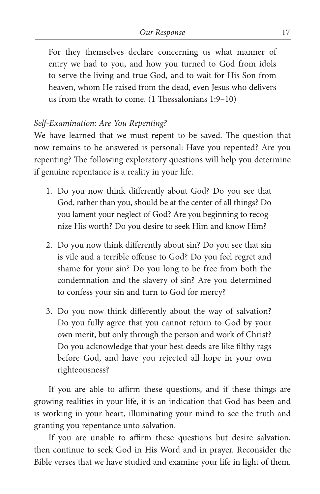For they themselves declare concerning us what manner of entry we had to you, and how you turned to God from idols to serve the living and true God, and to wait for His Son from heaven, whom He raised from the dead, even Jesus who delivers us from the wrath to come. (1 Thessalonians 1:9–10)

#### *Self-Examination: Are You Repenting?*

We have learned that we must repent to be saved. The question that now remains to be answered is personal: Have you repented? Are you repenting? The following exploratory questions will help you determine if genuine repentance is a reality in your life.

- 1. Do you now think differently about God? Do you see that God, rather than you, should be at the center of all things? Do you lament your neglect of God? Are you beginning to recognize His worth? Do you desire to seek Him and know Him?
- 2. Do you now think differently about sin? Do you see that sin is vile and a terrible offense to God? Do you feel regret and shame for your sin? Do you long to be free from both the condemnation and the slavery of sin? Are you determined to confess your sin and turn to God for mercy?
- 3. Do you now think differently about the way of salvation? Do you fully agree that you cannot return to God by your own merit, but only through the person and work of Christ? Do you acknowledge that your best deeds are like filthy rags before God, and have you rejected all hope in your own righteousness?

If you are able to affirm these questions, and if these things are growing realities in your life, it is an indication that God has been and is working in your heart, illuminating your mind to see the truth and granting you repentance unto salvation.

If you are unable to affirm these questions but desire salvation, then continue to seek God in His Word and in prayer. Reconsider the Bible verses that we have studied and examine your life in light of them.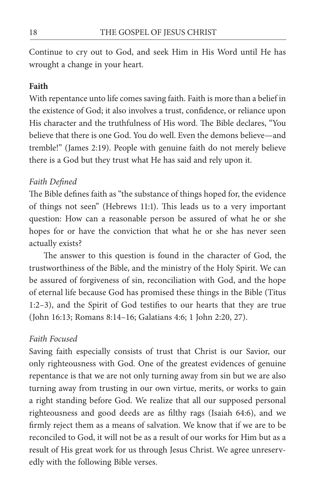Continue to cry out to God, and seek Him in His Word until He has wrought a change in your heart.

#### **Faith**

With repentance unto life comes saving faith. Faith is more than a belief in the existence of God; it also involves a trust, confidence, or reliance upon His character and the truthfulness of His word. The Bible declares, "You believe that there is one God. You do well. Even the demons believe—and tremble!" (James 2:19). People with genuine faith do not merely believe there is a God but they trust what He has said and rely upon it.

#### *Faith Defined*

The Bible defines faith as "the substance of things hoped for, the evidence of things not seen" (Hebrews 11:1). This leads us to a very important question: How can a reasonable person be assured of what he or she hopes for or have the conviction that what he or she has never seen actually exists?

The answer to this question is found in the character of God, the trustworthiness of the Bible, and the ministry of the Holy Spirit. We can be assured of forgiveness of sin, reconciliation with God, and the hope of eternal life because God has promised these things in the Bible (Titus 1:2–3), and the Spirit of God testifies to our hearts that they are true (John 16:13; Romans 8:14–16; Galatians 4:6; 1 John 2:20, 27).

#### *Faith Focused*

Saving faith especially consists of trust that Christ is our Savior, our only righteousness with God. One of the greatest evidences of genuine repentance is that we are not only turning away from sin but we are also turning away from trusting in our own virtue, merits, or works to gain a right standing before God. We realize that all our supposed personal righteousness and good deeds are as filthy rags (Isaiah 64:6), and we firmly reject them as a means of salvation. We know that if we are to be reconciled to God, it will not be as a result of our works for Him but as a result of His great work for us through Jesus Christ. We agree unreservedly with the following Bible verses.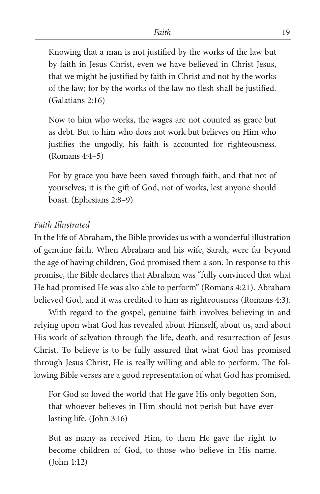Knowing that a man is not justified by the works of the law but by faith in Jesus Christ, even we have believed in Christ Jesus, that we might be justified by faith in Christ and not by the works of the law; for by the works of the law no flesh shall be justified. (Galatians 2:16)

Now to him who works, the wages are not counted as grace but as debt. But to him who does not work but believes on Him who justifies the ungodly, his faith is accounted for righteousness. (Romans 4:4–5)

For by grace you have been saved through faith, and that not of yourselves; it is the gift of God, not of works, lest anyone should boast. (Ephesians 2:8–9)

#### *Faith Illustrated*

In the life of Abraham, the Bible provides us with a wonderful illustration of genuine faith. When Abraham and his wife, Sarah, were far beyond the age of having children, God promised them a son. In response to this promise, the Bible declares that Abraham was "fully convinced that what He had promised He was also able to perform" (Romans 4:21). Abraham believed God, and it was credited to him as righteousness (Romans 4:3).

With regard to the gospel, genuine faith involves believing in and relying upon what God has revealed about Himself, about us, and about His work of salvation through the life, death, and resurrection of Jesus Christ. To believe is to be fully assured that what God has promised through Jesus Christ, He is really willing and able to perform. The following Bible verses are a good representation of what God has promised.

For God so loved the world that He gave His only begotten Son, that whoever believes in Him should not perish but have everlasting life. (John 3:16)

But as many as received Him, to them He gave the right to become children of God, to those who believe in His name. (John 1:12)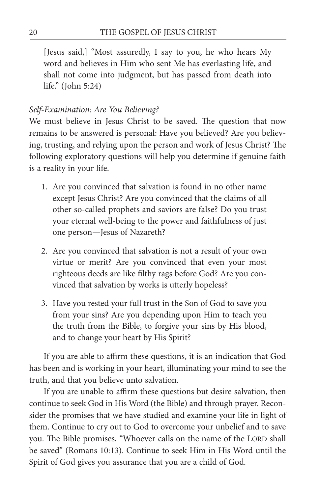[Jesus said,] "Most assuredly, I say to you, he who hears My word and believes in Him who sent Me has everlasting life, and shall not come into judgment, but has passed from death into life." (John 5:24)

#### *Self-Examination: Are You Believing?*

We must believe in Jesus Christ to be saved. The question that now remains to be answered is personal: Have you believed? Are you believing, trusting, and relying upon the person and work of Jesus Christ? The following exploratory questions will help you determine if genuine faith is a reality in your life.

- 1. Are you convinced that salvation is found in no other name except Jesus Christ? Are you convinced that the claims of all other so-called prophets and saviors are false? Do you trust your eternal well-being to the power and faithfulness of just one person—Jesus of Nazareth?
- 2. Are you convinced that salvation is not a result of your own virtue or merit? Are you convinced that even your most righteous deeds are like filthy rags before God? Are you convinced that salvation by works is utterly hopeless?
- 3. Have you rested your full trust in the Son of God to save you from your sins? Are you depending upon Him to teach you the truth from the Bible, to forgive your sins by His blood, and to change your heart by His Spirit?

If you are able to affirm these questions, it is an indication that God has been and is working in your heart, illuminating your mind to see the truth, and that you believe unto salvation.

If you are unable to affirm these questions but desire salvation, then continue to seek God in His Word (the Bible) and through prayer. Reconsider the promises that we have studied and examine your life in light of them. Continue to cry out to God to overcome your unbelief and to save you. The Bible promises, "Whoever calls on the name of the LORD shall be saved" (Romans 10:13). Continue to seek Him in His Word until the Spirit of God gives you assurance that you are a child of God.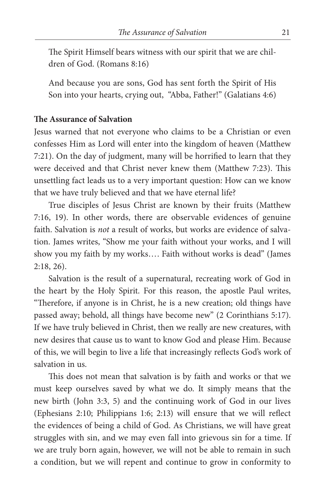The Spirit Himself bears witness with our spirit that we are children of God. (Romans 8:16)

And because you are sons, God has sent forth the Spirit of His Son into your hearts, crying out, "Abba, Father!" (Galatians 4:6)

#### **The Assurance of Salvation**

Jesus warned that not everyone who claims to be a Christian or even confesses Him as Lord will enter into the kingdom of heaven (Matthew 7:21). On the day of judgment, many will be horrified to learn that they were deceived and that Christ never knew them (Matthew 7:23). This unsettling fact leads us to a very important question: How can we know that we have truly believed and that we have eternal life?

True disciples of Jesus Christ are known by their fruits (Matthew 7:16, 19). In other words, there are observable evidences of genuine faith. Salvation is *not* a result of works, but works are evidence of salvation. James writes, "Show me your faith without your works, and I will show you my faith by my works…. Faith without works is dead" (James 2:18, 26).

Salvation is the result of a supernatural, recreating work of God in the heart by the Holy Spirit. For this reason, the apostle Paul writes, "Therefore, if anyone is in Christ, he is a new creation; old things have passed away; behold, all things have become new" (2 Corinthians 5:17). If we have truly believed in Christ, then we really are new creatures, with new desires that cause us to want to know God and please Him. Because of this, we will begin to live a life that increasingly reflects God's work of salvation in us.

This does not mean that salvation is by faith and works or that we must keep ourselves saved by what we do. It simply means that the new birth (John 3:3, 5) and the continuing work of God in our lives (Ephesians 2:10; Philippians 1:6; 2:13) will ensure that we will reflect the evidences of being a child of God. As Christians, we will have great struggles with sin, and we may even fall into grievous sin for a time. If we are truly born again, however, we will not be able to remain in such a condition, but we will repent and continue to grow in conformity to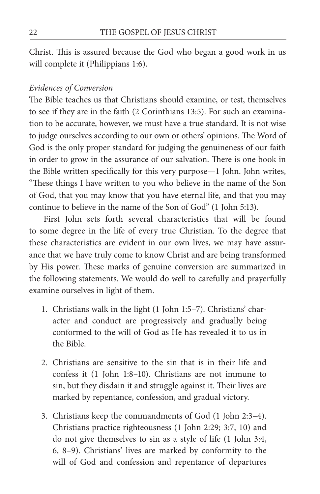Christ. This is assured because the God who began a good work in us will complete it (Philippians 1:6).

#### *Evidences of Conversion*

The Bible teaches us that Christians should examine, or test, themselves to see if they are in the faith (2 Corinthians 13:5). For such an examination to be accurate, however, we must have a true standard. It is not wise to judge ourselves according to our own or others' opinions. The Word of God is the only proper standard for judging the genuineness of our faith in order to grow in the assurance of our salvation. There is one book in the Bible written specifically for this very purpose—1 John. John writes, "These things I have written to you who believe in the name of the Son of God, that you may know that you have eternal life, and that you may continue to believe in the name of the Son of God" (1 John 5:13).

First John sets forth several characteristics that will be found to some degree in the life of every true Christian. To the degree that these characteristics are evident in our own lives, we may have assurance that we have truly come to know Christ and are being transformed by His power. These marks of genuine conversion are summarized in the following statements. We would do well to carefully and prayerfully examine ourselves in light of them.

- 1. Christians walk in the light (1 John 1:5–7). Christians' character and conduct are progressively and gradually being conformed to the will of God as He has revealed it to us in the Bible.
- 2. Christians are sensitive to the sin that is in their life and confess it (1 John 1:8–10). Christians are not immune to sin, but they disdain it and struggle against it. Their lives are marked by repentance, confession, and gradual victory.
- 3. Christians keep the commandments of God (1 John 2:3–4). Christians practice righteousness (1 John 2:29; 3:7, 10) and do not give themselves to sin as a style of life (1 John 3:4, 6, 8–9). Christians' lives are marked by conformity to the will of God and confession and repentance of departures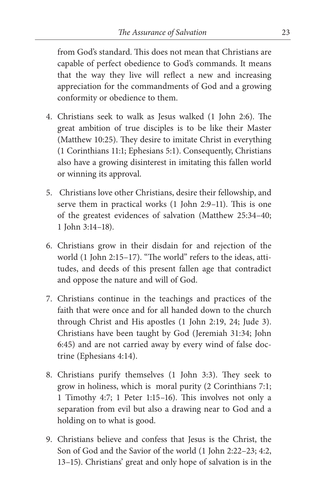from God's standard. This does not mean that Christians are capable of perfect obedience to God's commands. It means that the way they live will reflect a new and increasing appreciation for the commandments of God and a growing conformity or obedience to them.

- 4. Christians seek to walk as Jesus walked (1 John 2:6). The great ambition of true disciples is to be like their Master (Matthew 10:25). They desire to imitate Christ in everything (1 Corinthians 11:1; Ephesians 5:1). Consequently, Christians also have a growing disinterest in imitating this fallen world or winning its approval.
- 5. Christians love other Christians, desire their fellowship, and serve them in practical works (1 John 2:9–11). This is one of the greatest evidences of salvation (Matthew 25:34–40; 1 John 3:14–18).
- 6. Christians grow in their disdain for and rejection of the world (1 John 2:15–17). "The world" refers to the ideas, attitudes, and deeds of this present fallen age that contradict and oppose the nature and will of God.
- 7. Christians continue in the teachings and practices of the faith that were once and for all handed down to the church through Christ and His apostles (1 John 2:19, 24; Jude 3). Christians have been taught by God (Jeremiah 31:34; John 6:45) and are not carried away by every wind of false doctrine (Ephesians 4:14).
- 8. Christians purify themselves (1 John 3:3). They seek to grow in holiness, which is moral purity (2 Corinthians 7:1; 1 Timothy 4:7; 1 Peter 1:15–16). This involves not only a separation from evil but also a drawing near to God and a holding on to what is good.
- 9. Christians believe and confess that Jesus is the Christ, the Son of God and the Savior of the world (1 John 2:22–23; 4:2, 13–15). Christians' great and only hope of salvation is in the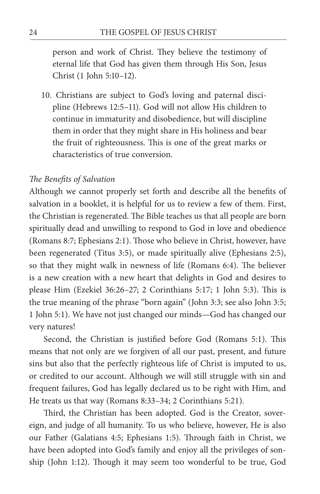person and work of Christ. They believe the testimony of eternal life that God has given them through His Son, Jesus Christ (1 John 5:10–12).

10. Christians are subject to God's loving and paternal discipline (Hebrews 12:5–11). God will not allow His children to continue in immaturity and disobedience, but will discipline them in order that they might share in His holiness and bear the fruit of righteousness. This is one of the great marks or characteristics of true conversion.

#### *The Benefits of Salvation*

Although we cannot properly set forth and describe all the benefits of salvation in a booklet, it is helpful for us to review a few of them. First, the Christian is regenerated. The Bible teaches us that all people are born spiritually dead and unwilling to respond to God in love and obedience (Romans 8:7; Ephesians 2:1). Those who believe in Christ, however, have been regenerated (Titus 3:5), or made spiritually alive (Ephesians 2:5), so that they might walk in newness of life (Romans 6:4). The believer is a new creation with a new heart that delights in God and desires to please Him (Ezekiel 36:26–27; 2 Corinthians 5:17; 1 John 5:3). This is the true meaning of the phrase "born again" (John 3:3; see also John 3:5; 1 John 5:1). We have not just changed our minds—God has changed our very natures!

Second, the Christian is justified before God (Romans 5:1). This means that not only are we forgiven of all our past, present, and future sins but also that the perfectly righteous life of Christ is imputed to us, or credited to our account. Although we will still struggle with sin and frequent failures, God has legally declared us to be right with Him, and He treats us that way (Romans 8:33–34; 2 Corinthians 5:21).

Third, the Christian has been adopted. God is the Creator, sovereign, and judge of all humanity. To us who believe, however, He is also our Father (Galatians 4:5; Ephesians 1:5). Through faith in Christ, we have been adopted into God's family and enjoy all the privileges of sonship (John 1:12). Though it may seem too wonderful to be true, God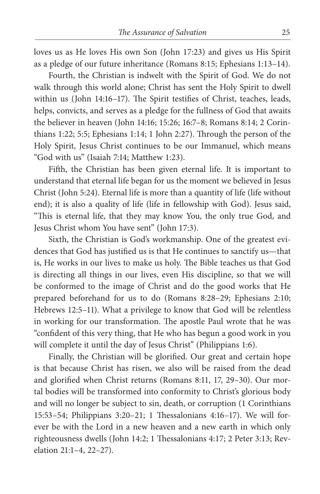loves us as He loves His own Son (John 17:23) and gives us His Spirit as a pledge of our future inheritance (Romans 8:15; Ephesians 1:13–14).

Fourth, the Christian is indwelt with the Spirit of God. We do not walk through this world alone; Christ has sent the Holy Spirit to dwell within us (John 14:16–17). The Spirit testifies of Christ, teaches, leads, helps, convicts, and serves as a pledge for the fullness of God that awaits the believer in heaven (John 14:16; 15:26; 16:7–8; Romans 8:14; 2 Corinthians 1:22; 5:5; Ephesians 1:14; 1 John 2:27). Through the person of the Holy Spirit, Jesus Christ continues to be our Immanuel, which means "God with us" (Isaiah 7:14; Matthew 1:23).

Fifth, the Christian has been given eternal life. It is important to understand that eternal life began for us the moment we believed in Jesus Christ (John 5:24). Eternal life is more than a quantity of life (life without end); it is also a quality of life (life in fellowship with God). Jesus said, "This is eternal life, that they may know You, the only true God, and Jesus Christ whom You have sent" (John 17:3).

Sixth, the Christian is God's workmanship. One of the greatest evidences that God has justified us is that He continues to sanctify us—that is, He works in our lives to make us holy. The Bible teaches us that God is directing all things in our lives, even His discipline, so that we will be conformed to the image of Christ and do the good works that He prepared beforehand for us to do (Romans 8:28–29; Ephesians 2:10; Hebrews 12:5–11). What a privilege to know that God will be relentless in working for our transformation. The apostle Paul wrote that he was "confident of this very thing, that He who has begun a good work in you will complete it until the day of Jesus Christ" (Philippians 1:6).

Finally, the Christian will be glorified. Our great and certain hope is that because Christ has risen, we also will be raised from the dead and glorified when Christ returns (Romans 8:11, 17, 29–30). Our mortal bodies will be transformed into conformity to Christ's glorious body and will no longer be subject to sin, death, or corruption (1 Corinthians 15:53–54; Philippians 3:20–21; 1 Thessalonians 4:16–17). We will forever be with the Lord in a new heaven and a new earth in which only righteousness dwells (John 14:2; 1 Thessalonians 4:17; 2 Peter 3:13; Revelation 21:1–4, 22–27).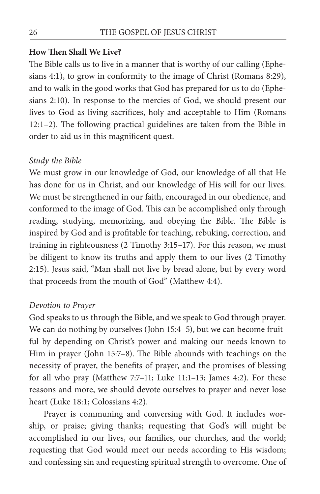#### **How Then Shall We Live?**

The Bible calls us to live in a manner that is worthy of our calling (Ephesians 4:1), to grow in conformity to the image of Christ (Romans 8:29), and to walk in the good works that God has prepared for us to do (Ephesians 2:10). In response to the mercies of God, we should present our lives to God as living sacrifices, holy and acceptable to Him (Romans 12:1–2). The following practical guidelines are taken from the Bible in order to aid us in this magnificent quest.

#### *Study the Bible*

We must grow in our knowledge of God, our knowledge of all that He has done for us in Christ, and our knowledge of His will for our lives. We must be strengthened in our faith, encouraged in our obedience, and conformed to the image of God. This can be accomplished only through reading, studying, memorizing, and obeying the Bible. The Bible is inspired by God and is profitable for teaching, rebuking, correction, and training in righteousness (2 Timothy 3:15–17). For this reason, we must be diligent to know its truths and apply them to our lives (2 Timothy 2:15). Jesus said, "Man shall not live by bread alone, but by every word that proceeds from the mouth of God" (Matthew 4:4).

#### *Devotion to Prayer*

God speaks to us through the Bible, and we speak to God through prayer. We can do nothing by ourselves (John 15:4–5), but we can become fruitful by depending on Christ's power and making our needs known to Him in prayer (John 15:7–8). The Bible abounds with teachings on the necessity of prayer, the benefits of prayer, and the promises of blessing for all who pray (Matthew 7:7–11; Luke 11:1–13; James 4:2). For these reasons and more, we should devote ourselves to prayer and never lose heart (Luke 18:1; Colossians 4:2).

Prayer is communing and conversing with God. It includes worship, or praise; giving thanks; requesting that God's will might be accomplished in our lives, our families, our churches, and the world; requesting that God would meet our needs according to His wisdom; and confessing sin and requesting spiritual strength to overcome. One of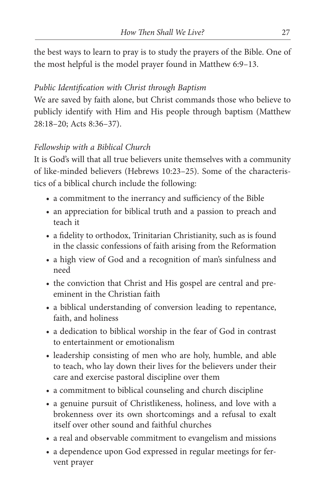the best ways to learn to pray is to study the prayers of the Bible. One of the most helpful is the model prayer found in Matthew 6:9–13.

#### *Public Identification with Christ through Baptism*

We are saved by faith alone, but Christ commands those who believe to publicly identify with Him and His people through baptism (Matthew 28:18–20; Acts 8:36–37).

#### *Fellowship with a Biblical Church*

It is God's will that all true believers unite themselves with a community of like-minded believers (Hebrews 10:23–25). Some of the characteristics of a biblical church include the following:

- a commitment to the inerrancy and sufficiency of the Bible
- an appreciation for biblical truth and a passion to preach and teach it
- a fidelity to orthodox, Trinitarian Christianity, such as is found in the classic confessions of faith arising from the Reformation
- a high view of God and a recognition of man's sinfulness and need
- the conviction that Christ and His gospel are central and preeminent in the Christian faith
- a biblical understanding of conversion leading to repentance, faith, and holiness
- a dedication to biblical worship in the fear of God in contrast to entertainment or emotionalism
- leadership consisting of men who are holy, humble, and able to teach, who lay down their lives for the believers under their care and exercise pastoral discipline over them
- a commitment to biblical counseling and church discipline
- a genuine pursuit of Christlikeness, holiness, and love with a brokenness over its own shortcomings and a refusal to exalt itself over other sound and faithful churches
- a real and observable commitment to evangelism and missions
- a dependence upon God expressed in regular meetings for fervent prayer